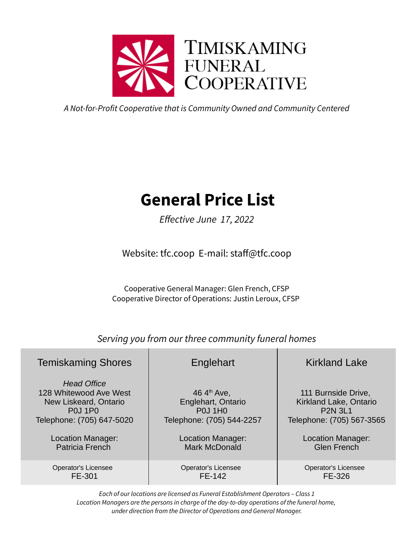

A Not-for-Profit Cooperative that is Community Owned and Community Centered

# **General Price List**

Effective June 17, 2022

Website: tfc.coop E-mail: staff@tfc.coop

Cooperative General Manager: Glen French, CFSP Cooperative Director of Operations: Justin Leroux, CFSP

Serving you from our three community funeral homes

| <b>Temiskaming Shores</b>                                                                                            | Englehart                                                                                    | <b>Kirkland Lake</b>                                                                         |
|----------------------------------------------------------------------------------------------------------------------|----------------------------------------------------------------------------------------------|----------------------------------------------------------------------------------------------|
| <b>Head Office</b><br>128 Whitewood Ave West<br>New Liskeard, Ontario<br><b>P0J 1P0</b><br>Telephone: (705) 647-5020 | 46 $4^{\text{th}}$ Ave,<br>Englehart, Ontario<br><b>P0J 1H0</b><br>Telephone: (705) 544-2257 | 111 Burnside Drive,<br>Kirkland Lake, Ontario<br><b>P2N 3L1</b><br>Telephone: (705) 567-3565 |
| Location Manager:                                                                                                    | Location Manager:                                                                            | Location Manager:                                                                            |
| <b>Patricia French</b>                                                                                               | <b>Mark McDonald</b>                                                                         | <b>Glen French</b>                                                                           |
| Operator's Licensee                                                                                                  | Operator's Licensee                                                                          | Operator's Licensee                                                                          |
| FE-301                                                                                                               | FE-142                                                                                       | FE-326                                                                                       |

Each of our locations are licensed as Funeral Establishment Operators – Class 1 Location Managers are the persons in charge of the day-to-day operations of the funeral home, under direction from the Director of Operations and General Manager.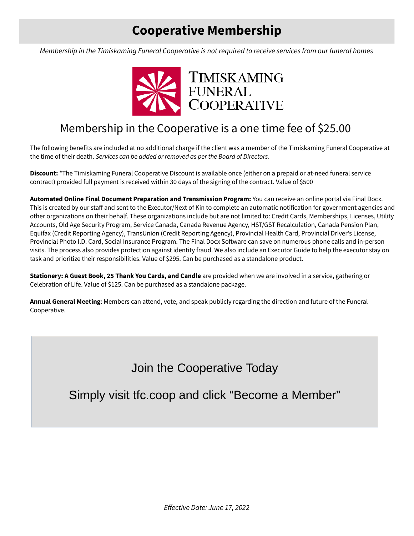## **Cooperative Membership**

Membership in the Timiskaming Funeral Cooperative is not required to receive services from our funeral homes



### Membership in the Cooperative is a one time fee of \$25.00

The following benefits are included at no additional charge if the client was a member of the Timiskaming Funeral Cooperative at the time of their death. Services can be added or removed as per the Board of Directors.

**Discount:** \*The Timiskaming Funeral Cooperative Discount is available once (either on a prepaid or at-need funeral service contract) provided full payment is received within 30 days of the signing of the contract. Value of \$500

**Automated Online Final Document Preparation and Transmission Program:** You can receive an online portal via Final Docx. This is created by our staff and sent to the Executor/Next of Kin to complete an automatic notification for government agencies and other organizations on their behalf. These organizations include but are not limited to: Credit Cards, Memberships, Licenses, Utility Accounts, Old Age Security Program, Service Canada, Canada Revenue Agency, HST/GST Recalculation, Canada Pension Plan, Equifax (Credit Reporting Agency), TransUnion (Credit Reporting Agency), Provincial Health Card, Provincial Driver's License, Provincial Photo I.D. Card, Social Insurance Program. The Final Docx Software can save on numerous phone calls and in-person visits. The process also provides protection against identity fraud. We also include an Executor Guide to help the executor stay on task and prioritize their responsibilities. Value of \$295. Can be purchased as a standalone product.

**Stationery: A Guest Book, 25 Thank You Cards, and Candle** are provided when we are involved in a service, gathering or Celebration of Life. Value of \$125. Can be purchased as a standalone package.

**Annual General Meeting**: Members can attend, vote, and speak publicly regarding the direction and future of the Funeral Cooperative.

Join the Cooperative Today

Simply visit tfc.coop and click "Become a Member"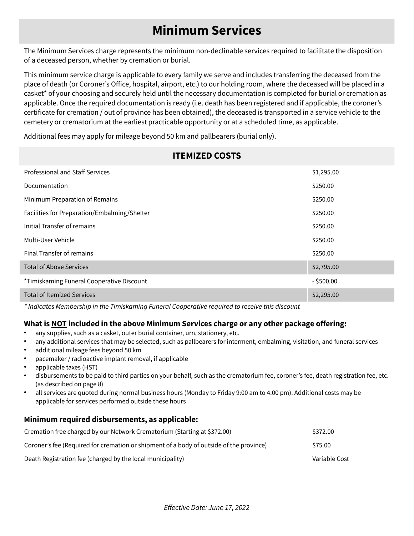## **Minimum Services**

The Minimum Services charge represents the minimum non-declinable services required to facilitate the disposition of a deceased person, whether by cremation or burial.

This minimum service charge is applicable to every family we serve and includes transferring the deceased from the place of death (or Coroner's Office, hospital, airport, etc.) to our holding room, where the deceased will be placed in a casket\* of your choosing and securely held until the necessary documentation is completed for burial or cremation as applicable. Once the required documentation is ready (i.e. death has been registered and if applicable, the coroner's certificate for cremation / out of province has been obtained), the deceased is transported in a service vehicle to the cemetery or crematorium at the earliest practicable opportunity or at a scheduled time, as applicable.

**ITEMIZED COSTS**

Additional fees may apply for mileage beyond 50 km and pallbearers (burial only).

| <u> II EMIZEV GUSTS</u>                      |              |  |
|----------------------------------------------|--------------|--|
| <b>Professional and Staff Services</b>       | \$1,295.00   |  |
| Documentation                                | \$250.00     |  |
| Minimum Preparation of Remains               | \$250.00     |  |
| Facilities for Preparation/Embalming/Shelter | \$250.00     |  |
| Initial Transfer of remains                  | \$250.00     |  |
| Multi-User Vehicle                           | \$250.00     |  |
| <b>Final Transfer of remains</b>             | \$250.00     |  |
| <b>Total of Above Services</b>               | \$2,795.00   |  |
| *Timiskaming Funeral Cooperative Discount    | $-$ \$500.00 |  |
| <b>Total of Itemized Services</b>            | \$2,295.00   |  |

\* Indicates Membership in the Timiskaming Funeral Cooperative required to receive this discount

### **What is NOT included in the above Minimum Services charge or any other package offering:**

- any supplies, such as a casket, outer burial container, urn, stationery, etc.
- any additional services that may be selected, such as pallbearers for interment, embalming, visitation, and funeral services
- additional mileage fees beyond 50 km
- pacemaker / radioactive implant removal, if applicable
- applicable taxes (HST)
- disbursements to be paid to third parties on your behalf, such as the crematorium fee, coroner's fee, death registration fee, etc. (as described on page 8)
- all services are quoted during normal business hours (Monday to Friday 9:00 am to 4:00 pm). Additional costs may be applicable for services performed outside these hours

#### **Minimum required disbursements, as applicable:**

| Cremation free charged by our Network Crematorium (Starting at \$372.00)                | \$372.00      |
|-----------------------------------------------------------------------------------------|---------------|
| Coroner's fee (Required for cremation or shipment of a body of outside of the province) | \$75.00       |
| Death Registration fee (charged by the local municipality)                              | Variable Cost |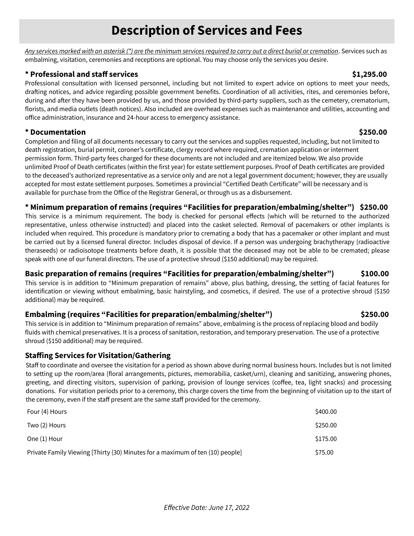## **Description of Services and Fees**

Any services marked with an asterisk (\*) are the minimum services required to carry out a direct burial or cremation. Services such as embalming, visitation, ceremonies and receptions are optional. You may choose only the services you desire.

### **\* Professional and staff services \$1,295.00**

Professional consultation with licensed personnel, including but not limited to expert advice on options to meet your needs, drafting notices, and advice regarding possible government benefits. Coordination of all activities, rites, and ceremonies before, during and after they have been provided by us, and those provided by third-party suppliers, such as the cemetery, crematorium, florists, and media outlets (death notices). Also included are overhead expenses such as maintenance and utilities, accounting and office administration, insurance and 24-hour access to emergency assistance.

### **\* Documentation \$250.00**

Completion and filing of all documents necessary to carry out the services and supplies requested, including, but not limited to death registration, burial permit, coroner's certificate, clergy record where required, cremation application or interment permission form. Third-party fees charged for these documents are not included and are itemized below. We also provide unlimited Proof of Death certificates (within the first year) for estate settlement purposes. Proof of Death certificates are provided to the deceased's authorized representative as a service only and are not a legal government document; however, they are usually accepted for most estate settlement purposes. Sometimes a provincial "Certified Death Certificate" will be necessary and is available for purchase from the Office of the Registrar General, or through us as a disbursement.

### **\* Minimum preparation of remains (requires "Facilities for preparation/embalming/shelter") \$250.00**

This service is a minimum requirement. The body is checked for personal effects (which will be returned to the authorized representative, unless otherwise instructed) and placed into the casket selected. Removal of pacemakers or other implants is included when required. This procedure is mandatory prior to cremating a body that has a pacemaker or other implant and must be carried out by a licensed funeral director. Includes disposal of device. If a person was undergoing brachytherapy (radioactive theraseeds) or radioisotope treatments before death, it is possible that the deceased may not be able to be cremated; please speak with one of our funeral directors. The use of a protective shroud (\$150 additional) may be required.

### **Basic preparation of remains (requires "Facilities for preparation/embalming/shelter") \$100.00**

This service is in addition to "Minimum preparation of remains" above, plus bathing, dressing, the setting of facial features for identification or viewing without embalming, basic hairstyling, and cosmetics, if desired. The use of a protective shroud (\$150 additional) may be required.

#### **Embalming (requires "Facilities for preparation/embalming/shelter") \$250.00**

This service is in addition to "Minimum preparation of remains" above, embalming is the process of replacing blood and bodily fluids with chemical preservatives. It is a process of sanitation, restoration, and temporary preservation. The use of a protective shroud (\$150 additional) may be required.

### **Staffing Services for Visitation/Gathering**

Staff to coordinate and oversee the visitation for a period as shown above during normal business hours. Includes but is not limited to setting up the room/area (floral arrangements, pictures, memorabilia, casket/urn), cleaning and sanitizing, answering phones, greeting, and directing visitors, supervision of parking, provision of lounge services (coffee, tea, light snacks) and processing donations. For visitation periods prior to a ceremony, this charge covers the time from the beginning of visitation up to the start of the ceremony, even if the staff present are the same staff provided for the ceremony.

| Four (4) Hours                                                                | \$400.00 |
|-------------------------------------------------------------------------------|----------|
| Two (2) Hours                                                                 | \$250.00 |
| One (1) Hour                                                                  | \$175.00 |
| Private Family Viewing [Thirty (30) Minutes for a maximum of ten (10) people] | \$75.00  |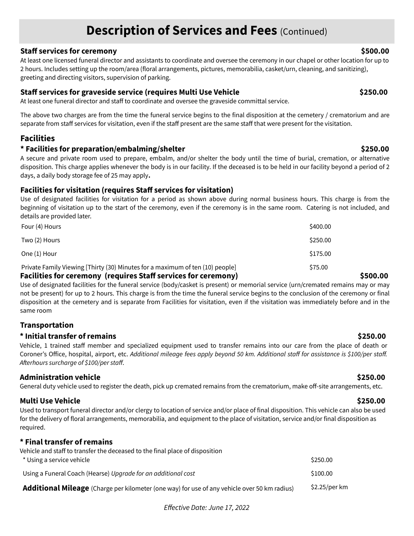### **Description of Services and Fees (Continued)**

#### **Staff services for ceremony \$500.00**

At least one licensed funeral director and assistants to coordinate and oversee the ceremony in our chapel or other location for up to 2 hours. Includes setting up the room/area (floral arrangements, pictures, memorabilia, casket/urn, cleaning, and sanitizing), greeting and directing visitors, supervision of parking.

#### **Staff services for graveside service (requires Multi Use Vehicle \$250.00**

At least one funeral director and staff to coordinate and oversee the graveside committal service.

The above two charges are from the time the funeral service begins to the final disposition at the cemetery / crematorium and are separate from staff services for visitation, even if the staff present are the same staff that were present for the visitation.

### **Facilities**

#### **\* Facilities for preparation/embalming/shelter \$250.00**

A secure and private room used to prepare, embalm, and/or shelter the body until the time of burial, cremation, or alternative disposition. This charge applies whenever the body is in our facility. If the deceased is to be held in our facility beyond a period of 2 days, a daily body storage fee of 25 may apply**.** 

#### **Facilities for visitation (requires Staff services for visitation)**

Use of designated facilities for visitation for a period as shown above during normal business hours. This charge is from the beginning of visitation up to the start of the ceremony, even if the ceremony is in the same room. Catering is not included, and details are provided later.

| Eacilities for ceremony (requires Staff services for ceremony)                |          | ĊЕ |
|-------------------------------------------------------------------------------|----------|----|
| Private Family Viewing [Thirty (30) Minutes for a maximum of ten (10) people] | \$75.00  |    |
| One (1) Hour                                                                  | \$175.00 |    |
| Two (2) Hours                                                                 | \$250.00 |    |
| Four (4) Hours                                                                | \$400.00 |    |

#### **Facilities for ceremony (requires Staff services for ceremony) \$500.00**

Use of designated facilities for the funeral service (body/casket is present) or memorial service (urn/cremated remains may or may not be present) for up to 2 hours. This charge is from the time the funeral service begins to the conclusion of the ceremony or final disposition at the cemetery and is separate from Facilities for visitation, even if the visitation was immediately before and in the same room

#### **Transportation**

#### **\* Initial transfer of remains \$250.00**

Vehicle, 1 trained staff member and specialized equipment used to transfer remains into our care from the place of death or Coroner's Office, hospital, airport, etc. Additional mileage fees apply beyond 50 km. Additional staff for assistance is \$100/per staff. Afterhours surcharge of \$100/per staff.

#### **Administration vehicle \$250.00**

General duty vehicle used to register the death, pick up cremated remains from the crematorium, make off-site arrangements, etc.

**Multi Use Vehicle \$250.00**

Used to transport funeral director and/or clergy to location of service and/or place of final disposition. This vehicle can also be used for the delivery of floral arrangements, memorabilia, and equipment to the place of visitation, service and/or final disposition as required.

#### **\* Final transfer of remains**

| Vehicle and staff to transfer the deceased to the final place of disposition<br>* Using a service vehicle | \$250.00      |
|-----------------------------------------------------------------------------------------------------------|---------------|
| Using a Funeral Coach (Hearse) Upgrade for an additional cost                                             | \$100.00      |
| Additional Mileage (Charge per kilometer (one way) for use of any vehicle over 50 km radius)              | \$2.25/per km |

Effective Date: June 17, 2022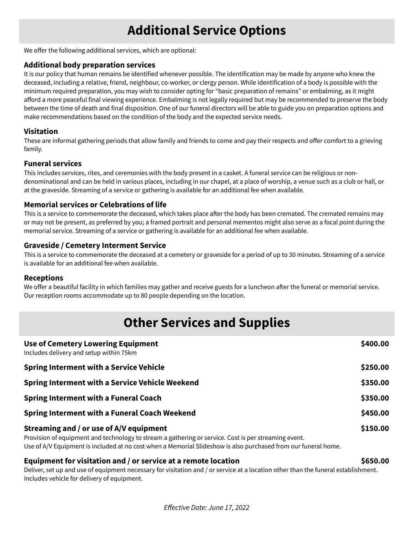## **Additional Service Options**

We offer the following additional services, which are optional:

#### **Additional body preparation services**

It is our policy that human remains be identified whenever possible. The identification may be made by anyone who knew the deceased, including a relative, friend, neighbour, co-worker, or clergy person. While identification of a body is possible with the minimum required preparation, you may wish to consider opting for "basic preparation of remains" or embalming, as it might afford a more peaceful final viewing experience. Embalming is not legally required but may be recommended to preserve the body between the time of death and final disposition. One of our funeral directors will be able to guide you on preparation options and make recommendations based on the condition of the body and the expected service needs.

#### **Visitation**

These are informal gathering periods that allow family and friends to come and pay their respects and offer comfort to a grieving family.

#### **Funeral services**

This includes services, rites, and ceremonies with the body present in a casket. A funeral service can be religious or nondenominational and can be held in various places, including in our chapel, at a place of worship, a venue such as a club or hall, or at the graveside. Streaming of a service or gathering is available for an additional fee when available.

#### **Memorial services or Celebrations of life**

This is a service to commemorate the deceased, which takes place after the body has been cremated. The cremated remains may or may not be present, as preferred by you; a framed portrait and personal mementos might also serve as a focal point during the memorial service. Streaming of a service or gathering is available for an additional fee when available.

#### **Graveside / Cemetery Interment Service**

This is a service to commemorate the deceased at a cemetery or graveside for a period of up to 30 minutes. Streaming of a service is available for an additional fee when available.

#### **Receptions**

We offer a beautiful facility in which families may gather and receive guests for a luncheon after the funeral or memorial service. Our reception rooms accommodate up to 80 people depending on the location.

### **Other Services and Supplies**

| <b>Use of Cemetery Lowering Equipment</b><br>Includes delivery and setup within 75km                                                            | \$400.00 |
|-------------------------------------------------------------------------------------------------------------------------------------------------|----------|
| <b>Spring Interment with a Service Vehicle</b>                                                                                                  | \$250.00 |
| <b>Spring Interment with a Service Vehicle Weekend</b>                                                                                          | \$350.00 |
| <b>Spring Interment with a Funeral Coach</b>                                                                                                    | \$350.00 |
| Spring Interment with a Funeral Coach Weekend                                                                                                   | \$450.00 |
| Streaming and / or use of A/V equipment<br>Provision of equipment and technology to stream a gathering or service. Cost is per streaming event. | \$150.00 |

Use of A/V Equipment is included at no cost when a Memorial Slideshow is also purchased from our funeral home.

#### **Equipment for visitation and / or service at a remote location \$650.00**

Deliver, set up and use of equipment necessary for visitation and / or service at a location other than the funeral establishment. Includes vehicle for delivery of equipment.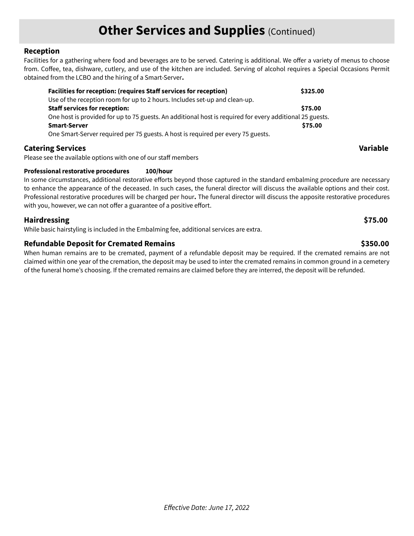### **Other Services and Supplies (Continued)**

#### **Reception**

Facilities for a gathering where food and beverages are to be served. Catering is additional. We offer a variety of menus to choose from. Coffee, tea, dishware, cutlery, and use of the kitchen are included. Serving of alcohol requires a Special Occasions Permit obtained from the LCBO and the hiring of a Smart-Server**.** 

| <b>Facilities for reception: (requires Staff services for reception)</b>                                 | \$325.00 |
|----------------------------------------------------------------------------------------------------------|----------|
| Use of the reception room for up to 2 hours. Includes set-up and clean-up.                               |          |
| <b>Staff services for reception:</b>                                                                     | \$75.00  |
| One host is provided for up to 75 guests. An additional host is required for every additional 25 guests. |          |
| <b>Smart-Server</b>                                                                                      | \$75.00  |
| One Smart-Server required per 75 guests. A host is required per every 75 guests.                         |          |

#### **Catering Services Variable**

Please see the available options with one of our staff members

#### **Professional restorative procedures 100/hour**

In some circumstances, additional restorative efforts beyond those captured in the standard embalming procedure are necessary to enhance the appearance of the deceased. In such cases, the funeral director will discuss the available options and their cost. Professional restorative procedures will be charged per hour**.** The funeral director will discuss the apposite restorative procedures with you, however, we can not offer a guarantee of a positive effort.

#### **Hairdressing \$75.00**

While basic hairstyling is included in the Embalming fee, additional services are extra.

#### **Refundable Deposit for Cremated Remains \$350.00**

When human remains are to be cremated, payment of a refundable deposit may be required. If the cremated remains are not claimed within one year of the cremation, the deposit may be used to inter the cremated remains in common ground in a cemetery of the funeral home's choosing. If the cremated remains are claimed before they are interred, the deposit will be refunded.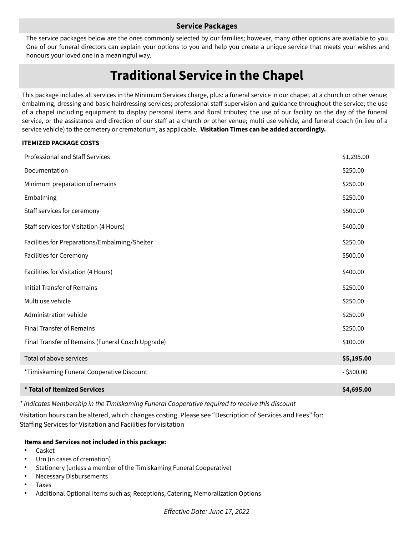#### **Service Packages**

The service packages below are the ones commonly selected by our families; however, many other options are available to you. One of our funeral directors can explain your options to you and help you create a unique service that meets your wishes and honours your loved one in a meaningful way.

## **Traditional Service in the Chapel**

This package includes all services in the Minimum Services charge, plus: a funeral service in our chapel, at a church or other venue; embalming, dressing and basic hairdressing services; professional staff supervision and guidance throughout the service; the use of a chapel including equipment to display personal items and floral tributes; the use of our facility on the day of the funeral service, or the assistance and direction of our staff at a church or other venue; multi use vehicle, and funeral coach (in lieu of a service vehicle) to the cemetery or crematorium, as applicable. **Visitation Times can be added accordingly.**

#### **ITEMIZED PACKAGE COSTS**

| * Total of Itemized Services                      | \$4,695.00   |
|---------------------------------------------------|--------------|
| *Timiskaming Funeral Cooperative Discount         | $-$ \$500.00 |
| Total of above services                           | \$5,195.00   |
| Final Transfer of Remains (Funeral Coach Upgrade) | \$100.00     |
| <b>Final Transfer of Remains</b>                  | \$250.00     |
| Administration vehicle                            | \$250.00     |
| Multi use vehicle                                 | \$250.00     |
| <b>Initial Transfer of Remains</b>                | \$250.00     |
| Facilities for Visitation (4 Hours)               | \$400.00     |
| Facilities for Ceremony                           | \$500.00     |
| Facilities for Preparations/Embalming/Shelter     | \$250.00     |
| Staff services for Visitation (4 Hours)           | \$400.00     |
| Staff services for ceremony                       | \$500.00     |
| Embalming                                         | \$250.00     |
| Minimum preparation of remains                    | \$250.00     |
| Documentation                                     | \$250.00     |
| Professional and Staff Services                   | \$1,295.00   |

\* Indicates Membership in the Timiskaming Funeral Cooperative required to receive this discount

Visitation hours can be altered, which changes costing. Please see "Description of Services and Fees" for: Staffing Services for Visitation and Facilities for visitation

#### **Items and Services not included in this package:**

- **Casket**
- Urn (in cases of cremation)
- Stationery (unless a member of the Timiskaming Funeral Cooperative)
- **Necessary Disbursements**
- **Taxes**
- Additional Optional Items such as; Receptions, Catering, Memoralization Options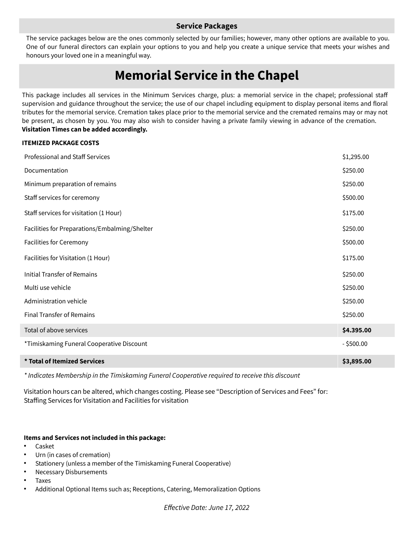#### **Service Packages**

The service packages below are the ones commonly selected by our families; however, many other options are available to you. One of our funeral directors can explain your options to you and help you create a unique service that meets your wishes and honours your loved one in a meaningful way.

### **Memorial Service in the Chapel**

This package includes all services in the Minimum Services charge, plus: a memorial service in the chapel; professional staff supervision and guidance throughout the service; the use of our chapel including equipment to display personal items and floral tributes for the memorial service. Cremation takes place prior to the memorial service and the cremated remains may or may not be present, as chosen by you. You may also wish to consider having a private family viewing in advance of the cremation. **Visitation Times can be added accordingly.**

#### **ITEMIZED PACKAGE COSTS**

| Professional and Staff Services               | \$1,295.00   |
|-----------------------------------------------|--------------|
| Documentation                                 | \$250.00     |
| Minimum preparation of remains                | \$250.00     |
| Staff services for ceremony                   | \$500.00     |
| Staff services for visitation (1 Hour)        | \$175.00     |
| Facilities for Preparations/Embalming/Shelter | \$250.00     |
| Facilities for Ceremony                       | \$500.00     |
| Facilities for Visitation (1 Hour)            | \$175.00     |
| <b>Initial Transfer of Remains</b>            | \$250.00     |
| Multi use vehicle                             | \$250.00     |
| Administration vehicle                        | \$250.00     |
| Final Transfer of Remains                     | \$250.00     |
| Total of above services                       | \$4.395.00   |
| *Timiskaming Funeral Cooperative Discount     | $-$ \$500.00 |
| * Total of Itemized Services                  | \$3,895.00   |
|                                               |              |

\* Indicates Membership in the Timiskaming Funeral Cooperative required to receive this discount

Visitation hours can be altered, which changes costing. Please see "Description of Services and Fees" for: Staffing Services for Visitation and Facilities for visitation

#### **Items and Services not included in this package:**

- **Casket**
- Urn (in cases of cremation)
- Stationery (unless a member of the Timiskaming Funeral Cooperative)
- **Necessary Disbursements**
- **Taxes**
- Additional Optional Items such as; Receptions, Catering, Memoralization Options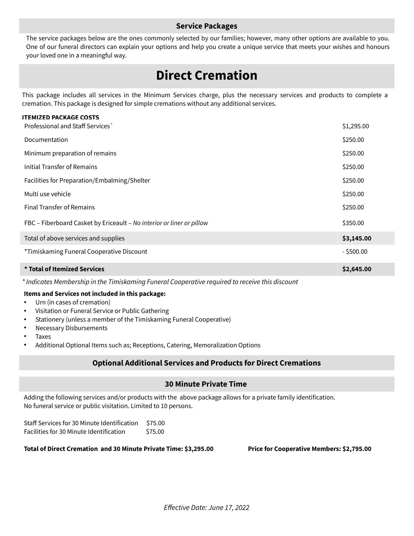#### **Service Packages**

The service packages below are the ones commonly selected by our families; however, many other options are available to you. One of our funeral directors can explain your options and help you create a unique service that meets your wishes and honours your loved one in a meaningful way.

### **Direct Cremation**

This package includes all services in the Minimum Services charge, plus the necessary services and products to complete a cremation. This package is designed for simple cremations without any additional services.

#### **ITEMIZED PACKAGE COSTS**

| Professional and Staff Services                                       | \$1,295.00   |
|-----------------------------------------------------------------------|--------------|
| Documentation                                                         | \$250.00     |
| Minimum preparation of remains                                        | \$250.00     |
| Initial Transfer of Remains                                           | \$250.00     |
| Facilities for Preparation/Embalming/Shelter                          | \$250.00     |
| Multi use vehicle                                                     | \$250.00     |
| <b>Final Transfer of Remains</b>                                      | \$250.00     |
| FBC - Fiberboard Casket by Ericeault - No interior or liner or pillow | \$350.00     |
| Total of above services and supplies                                  | \$3,145.00   |
| *Timiskaming Funeral Cooperative Discount                             | $-$ \$500.00 |
| * Total of Itemized Services                                          | \$2,645.00   |

\* Indicates Membership in the Timiskaming Funeral Cooperative required to receive this discount

#### **Items and Services not included in this package:**

- Urn (in cases of cremation)
- Visitation or Funeral Service or Public Gathering
- Stationery (unless a member of the Timiskaming Funeral Cooperative)
- **Necessary Disbursements**
- **Taxes**
- Additional Optional Items such as; Receptions, Catering, Memoralization Options

#### **Optional Additional Services and Products for Direct Cremations**

#### **30 Minute Private Time**

Adding the following services and/or products with the above package allows for a private family identification. No funeral service or public visitation. Limited to 10 persons.

| Staff Services for 30 Minute Identification | \$75.00 |
|---------------------------------------------|---------|
| Facilities for 30 Minute Identification     | \$75.00 |

#### **Total of Direct Cremation and 30 Minute Private Time: \$3,295.00 Price for Cooperative Members: \$2,795.00**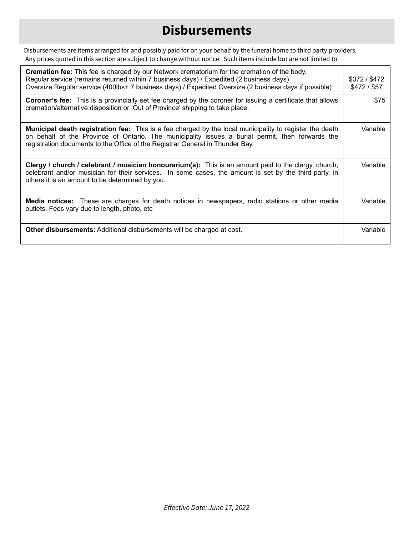## **Disbursements**

Disbursements are items arranged for and possibly paid for on your behalf by the funeral home to third party providers. Any prices quoted in this section are subject to change without notice. Such items include but are not limited to:

| <b>Cremation fee:</b> This fee is charged by our Network crematorium for the cremation of the body.<br>Regular service (remains returned within 7 business days) / Expedited (2 business days)<br>Oversize Regular service (400lbs+ 7 business days) / Expedited Oversize (2 business days if possible) | \$372 / \$472<br>$$472/$ \$57 |
|---------------------------------------------------------------------------------------------------------------------------------------------------------------------------------------------------------------------------------------------------------------------------------------------------------|-------------------------------|
| <b>Coroner's fee:</b> This is a provincially set fee charged by the coroner for issuing a certificate that allows<br>cremation/alternative disposition or 'Out of Province' shipping to take place.                                                                                                     | \$75                          |
| <b>Municipal death registration fee:</b> This is a fee charged by the local municipality to register the death<br>on behalf of the Province of Ontario. The municipality issues a burial permit, then forwards the<br>registration documents to the Office of the Registrar General in Thunder Bay.     | Variable                      |
| Clergy / church / celebrant / musician honourarium(s): This is an amount paid to the clergy, church,<br>celebrant and/or musician for their services. In some cases, the amount is set by the third-party, in<br>others it is an amount to be determined by you.                                        | Variable                      |
| Media notices: These are charges for death notices in newspapers, radio stations or other media<br>outlets. Fees vary due to length, photo, etc                                                                                                                                                         | Variable                      |
| <b>Other disbursements:</b> Additional disbursements will be charged at cost.                                                                                                                                                                                                                           | Variable                      |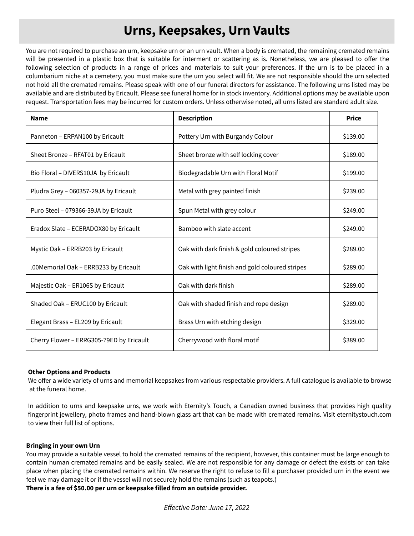## **Urns, Keepsakes, Urn Vaults**

You are not required to purchase an urn, keepsake urn or an urn vault. When a body is cremated, the remaining cremated remains will be presented in a plastic box that is suitable for interment or scattering as is. Nonetheless, we are pleased to offer the following selection of products in a range of prices and materials to suit your preferences. If the urn is to be placed in a columbarium niche at a cemetery, you must make sure the urn you select will fit. We are not responsible should the urn selected not hold all the cremated remains. Please speak with one of our funeral directors for assistance. The following urns listed may be available and are distributed by Ericault. Please see funeral home for in stock inventory. Additional options may be available upon request. Transportation fees may be incurred for custom orders. Unless otherwise noted, all urns listed are standard adult size.

| <b>Name</b>                              | <b>Description</b>                              | <b>Price</b> |
|------------------------------------------|-------------------------------------------------|--------------|
| Panneton - ERPAN100 by Ericault          | Pottery Urn with Burgandy Colour                | \$139.00     |
| Sheet Bronze - RFAT01 by Ericault        | Sheet bronze with self locking cover            | \$189.00     |
| Bio Floral - DIVERS10JA by Ericault      | Biodegradable Urn with Floral Motif             | \$199.00     |
| Pludra Grey - 060357-29JA by Ericault    | Metal with grey painted finish                  | \$239.00     |
| Puro Steel - 079366-39JA by Ericault     | Spun Metal with grey colour                     | \$249.00     |
| Eradox Slate - ECERADOX80 by Ericault    | Bamboo with slate accent                        | \$249.00     |
| Mystic Oak - ERRB203 by Ericault         | Oak with dark finish & gold coloured stripes    | \$289.00     |
| .00Memorial Oak – ERRB233 by Ericault    | Oak with light finish and gold coloured stripes | \$289.00     |
| Majestic Oak - ER106S by Ericault        | Oak with dark finish                            | \$289.00     |
| Shaded Oak - ERUC100 by Ericault         | Oak with shaded finish and rope design          | \$289.00     |
| Elegant Brass - EL209 by Ericault        | Brass Urn with etching design                   | \$329.00     |
| Cherry Flower - ERRG305-79ED by Ericault | Cherrywood with floral motif                    | \$389.00     |

#### **Other Options and Products**

We offer a wide variety of urns and memorial keepsakes from various respectable providers. A full catalogue is available to browse at the funeral home.

In addition to urns and keepsake urns, we work with Eternity's Touch, a Canadian owned business that provides high quality fingerprint jewellery, photo frames and hand-blown glass art that can be made with cremated remains. Visit eternitystouch.com to view their full list of options.

#### **Bringing in your own Urn**

You may provide a suitable vessel to hold the cremated remains of the recipient, however, this container must be large enough to contain human cremated remains and be easily sealed. We are not responsible for any damage or defect the exists or can take place when placing the cremated remains within. We reserve the right to refuse to fill a purchaser provided urn in the event we feel we may damage it or if the vessel will not securely hold the remains (such as teapots.)

**There is a fee of \$50.00 per urn or keepsake filled from an outside provider.**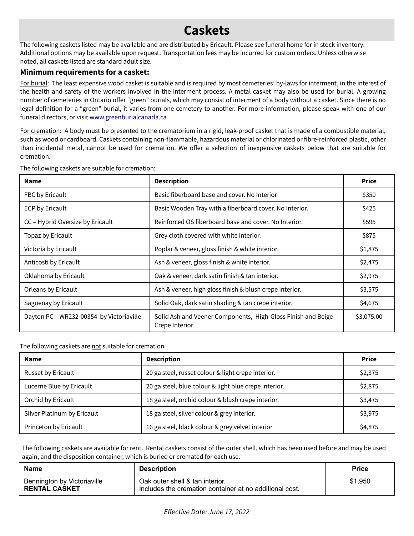## **Caskets**

The following caskets listed may be available and are distributed by Ericault. Please see funeral home for in stock inventory. Additional options may be available upon request. Transportation fees may be incurred for custom orders. Unless otherwise noted, all caskets listed are standard adult size.

### **Minimum requirements for a casket:**

For burial: The least expensive wood casket is suitable and is required by most cemeteries' by-laws for interment, in the interest of the health and safety of the workers involved in the interment process. A metal casket may also be used for burial. A growing number of cemeteries in Ontario offer "green" burials, which may consist of interment of a body without a casket. Since there is no legal definition for a "green" burial, it varies from one cemetery to another. For more information, please speak with one of our funeral directors, or visit [www.greenburialcanada.ca](http://www.greenburialcanada.ca/)

For cremation: A body must be presented to the crematorium in a rigid, leak-proof casket that is made of a combustible material, such as wood or cardboard. Caskets containing non-flammable, hazardous material or chlorinated or fibre-reinforced plastic, other than incidental metal, cannot be used for cremation. We offer a selection of inexpensive caskets below that are suitable for cremation.

| <b>Name</b>                              | <b>Description</b>                                                             | <b>Price</b> |
|------------------------------------------|--------------------------------------------------------------------------------|--------------|
| FBC by Ericault                          | Basic fiberboard base and cover. No Interior                                   | \$350        |
| <b>ECP by Ericault</b>                   | Basic Wooden Tray with a fiberboard cover. No Interior.                        | \$425        |
| CC - Hybrid Oversize by Ericault         | Reinforced OS fiberboard base and cover. No Interior.                          | \$595        |
| Topaz by Ericault                        | Grey cloth covered with white interior.                                        | \$875        |
| Victoria by Ericault                     | Poplar & veneer, gloss finish & white interior.                                | \$1,875      |
| Anticosti by Ericault                    | Ash & veneer, gloss finish & white interior.                                   | \$2,475      |
| Oklahoma by Ericault                     | Oak & veneer, dark satin finish & tan interior.                                | \$2,975      |
| Orleans by Ericault                      | Ash & veneer, high gloss finish & blush crepe interior.                        | \$3,575      |
| Saguenay by Ericault                     | Solid Oak, dark satin shading & tan crepe interior.                            | \$4,675      |
| Dayton PC - WR232-00354 by Victoriaville | Solid Ash and Veener Components, High-Gloss Finish and Beige<br>Crepe Interior | \$3,075.00   |

The following caskets are suitable for cremation:

The following caskets are not suitable for cremation

| <b>Name</b>                 | <b>Description</b>                                    | <b>Price</b> |
|-----------------------------|-------------------------------------------------------|--------------|
| Russet by Ericault          | 20 ga steel, russet colour & light crepe interior.    | \$2,375      |
| Lucerne Blue by Ericault    | 20 ga steel, blue colour & light blue crepe interior. | \$2,875      |
| Orchid by Ericault          | 18 ga steel, orchid colour & blush crepe interior.    | \$3,475      |
| Silver Platinum by Ericault | 18 ga steel, silver colour & grey interior.           | \$3,975      |
| Princeton by Ericault       | 16 ga steel, black colour & grey velvet interior      | \$4,875      |

The following caskets are available for rent. Rental caskets consist of the outer shell, which has been used before and may be used again, and the disposition container, which is buried or cremated for each use.

| Name                                                | <b>Description</b>                                                                         | <b>Price</b> |
|-----------------------------------------------------|--------------------------------------------------------------------------------------------|--------------|
| Bennington by Victoriaville<br><b>RENTAL CASKET</b> | Oak outer shell & tan interior.<br>Includes the cremation container at no additional cost. | \$1,950      |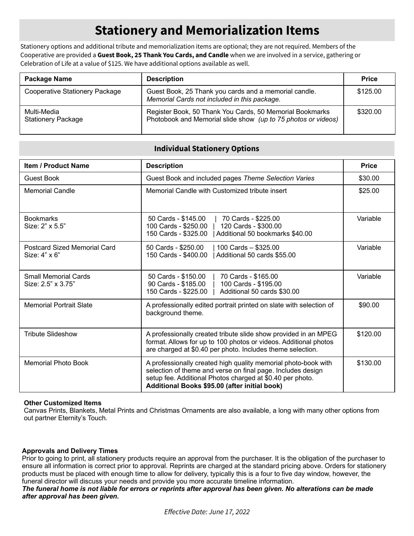## **Stationery and Memorialization Items**

Stationery options and additional tribute and memorialization items are optional; they are not required. Members of the Cooperative are provided a **Guest Book, 25 Thank You Cards, and Candle** when we are involved in a service, gathering or Celebration of Life at a value of \$125. We have additional options available as well.

| Package Name                             | <b>Description</b>                                                                                                        | <b>Price</b> |
|------------------------------------------|---------------------------------------------------------------------------------------------------------------------------|--------------|
| Cooperative Stationery Package           | Guest Book, 25 Thank you cards and a memorial candle.<br>Memorial Cards not included in this package.                     | \$125.00     |
| Multi-Media<br><b>Stationery Package</b> | Register Book, 50 Thank You Cards, 50 Memorial Bookmarks<br>Photobook and Memorial slide show (up to 75 photos or videos) | \$320.00     |

#### **Individual Stationery Options**

| <b>Item / Product Name</b>                        | <b>Description</b>                                                                                                                                                                                                                          | <b>Price</b> |
|---------------------------------------------------|---------------------------------------------------------------------------------------------------------------------------------------------------------------------------------------------------------------------------------------------|--------------|
| <b>Guest Book</b>                                 | Guest Book and included pages Theme Selection Varies                                                                                                                                                                                        | \$30.00      |
| <b>Memorial Candle</b>                            | Memorial Candle with Customized tribute insert                                                                                                                                                                                              | \$25.00      |
| <b>Bookmarks</b><br>Size: 2" x 5.5"               | 50 Cards - \$145.00<br>70 Cards - \$225.00<br>100 Cards - \$250.00<br>120 Cards - \$300.00<br>150 Cards - \$325.00<br>Additional 50 bookmarks \$40.00                                                                                       | Variable     |
| Postcard Sized Memorial Card<br>Size: 4" x 6"     | 50 Cards - \$250.00<br>100 Cards - \$325.00<br>150 Cards - \$400.00<br>Additional 50 cards \$55.00                                                                                                                                          | Variable     |
| <b>Small Memorial Cards</b><br>Size: 2.5" x 3.75" | 50 Cards - \$150.00<br>70 Cards - \$165.00<br>90 Cards - \$185.00<br>100 Cards - \$195.00<br>150 Cards - \$225.00<br>Additional 50 cards \$30.00                                                                                            | Variable     |
| <b>Memorial Portrait Slate</b>                    | A professionally edited portrait printed on slate with selection of<br>background theme.                                                                                                                                                    | \$90.00      |
| Tribute Slideshow                                 | A professionally created tribute slide show provided in an MPEG<br>format. Allows for up to 100 photos or videos. Additional photos<br>are charged at \$0.40 per photo. Includes theme selection.                                           | \$120.00     |
| <b>Memorial Photo Book</b>                        | A professionally created high quality memorial photo-book with<br>selection of theme and verse on final page. Includes design<br>setup fee. Additional Photos charged at \$0.40 per photo.<br>Additional Books \$95.00 (after initial book) | \$130.00     |

#### **Other Customized Items**

Canvas Prints, Blankets, Metal Prints and Christmas Ornaments are also available, a long with many other options from out partner Eternity's Touch.

#### **Approvals and Delivery Times**

Prior to going to print, all stationery products require an approval from the purchaser. It is the obligation of the purchaser to ensure all information is correct prior to approval. Reprints are charged at the standard pricing above. Orders for stationery products must be placed with enough time to allow for delivery, typically this is a four to five day window, however, the funeral director will discuss your needs and provide you more accurate timeline information.

*The funeral home is not liable for errors or reprints after approval has been given. No alterations can be made after approval has been given.*